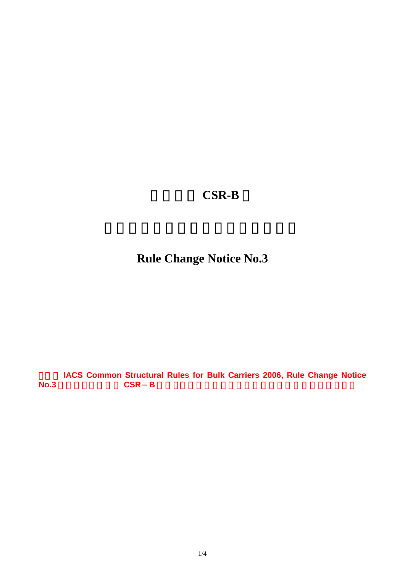## 鋼船規則 **CSR-B** 編

**Rule Change Notice No.3** 

**IACS Common Structural Rules for Bulk Carriers 2006, Rule Change Notice**  $N$ o.3 **CSR-B**  $\blacksquare$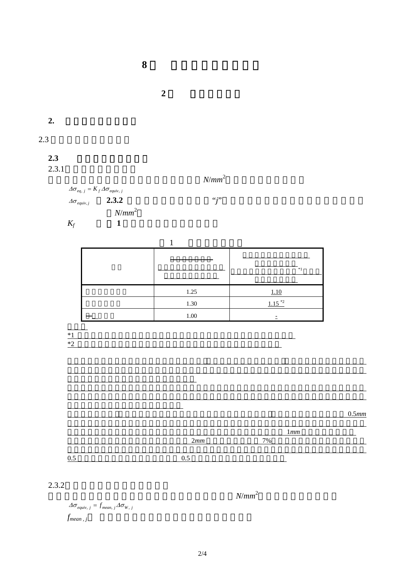**2** 節 疲労強度評価 **2.** 等価ノッチ応力範囲  $2.3$  $2.3$  $2.3.1$  $N/mm^2$  $\Delta \sigma_{eq, j} = K_f \Delta \sigma_{equiv}$ , *j*  $\Delta \sigma_{equiv}$ , **2.3.2**  $\qquad \qquad \qquad$   $\qquad \qquad$   $\qquad \qquad$   $\qquad \qquad$   $\qquad \qquad$   $\qquad \qquad$   $\qquad \qquad$   $\qquad \qquad$   $\qquad \qquad$   $\qquad \qquad$   $\qquad \qquad$   $\qquad \qquad$   $\qquad \qquad$   $\qquad \qquad$   $\qquad \qquad$   $\qquad \qquad$   $\qquad \qquad$   $\qquad \qquad$   $\qquad \qquad$   $\qquad \qquad$   $\qquad \qquad$   $\qquad \qquad$  *N*/*mm* 2  $K_f$  **1**  $1$  $\sim$  $*1$  $1.25$  1.10  $1.30$   $1.15$ <sup>\*2</sup>  $1.00$  $\frac{1}{2}$  $*1$  $*2$  $0.5mm$  $1mm$ いかなる場合もグラインディング深さは 2*mm* 又はグロス板厚の 7%のいずれか小さい方の値未満と  $0.5$   $0.5$ 

**8** 章 構造詳細の疲労評価

 $2.3.2$ 

各積付状態に対する等価ホットスポット応力範囲(*N*/*mm*  $N/mm^2$ 

 $\Delta \sigma_{\text{equiv}}$ ,  $j = f_{\text{mean}, j} \Delta \sigma_{W, j}$  $f_{mean, j}$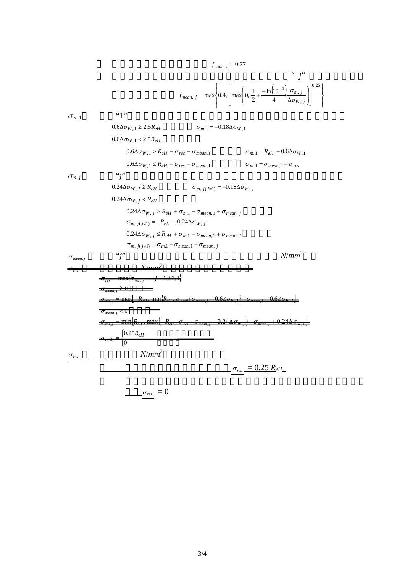$$
f_{mean, j} = 0.77
$$
\n
$$
f_{mean, j} = 0.77
$$
\n
$$
f_{mean, j} = \max \left\{ 0.4, \left[ \max \left( 0, \frac{1}{2} + \frac{-\ln[10^{-4}] \sigma_{m, j}}{4} \frac{\sigma_{m, j}}{\Delta \sigma_{W, j}} \right) \right]^{0.25} \right\}
$$
\n
$$
G_{m, 1}
$$
\n
$$
G_{m, 2}
$$
\n
$$
G_{m, 1} = 0.6\Delta \sigma_{W, 1} \ge 2.5R_{eH}
$$
\n
$$
0.6\Delta \sigma_{W, 1} < 2.5R_{eH}
$$
\n
$$
0.6\Delta \sigma_{W, 1} < 2.5R_{eH}
$$
\n
$$
0.6\Delta \sigma_{W, 1} < R_{eH} - \sigma_{res} - \sigma_{mean, 1}
$$
\n
$$
\sigma_{m, 1} = R_{eH} - 0.6\Delta \sigma_{W, 1}
$$
\n
$$
0.24\Delta \sigma_{W, j} \ge R_{eH}
$$
\n
$$
0.24\Delta \sigma_{W, j} > R_{eH}
$$
\n
$$
0.24\Delta \sigma_{W, j} < R_{eH}
$$
\n
$$
0.24\Delta \sigma_{W, j} < R_{eH}
$$
\n
$$
0.24\Delta \sigma_{W, j} < R_{eH} + \sigma_{m, 1} - \sigma_{mean, 1} + \sigma_{mean, j}
$$
\n
$$
\sigma_{m, j(jz1)} = -R_{eH} + 0.24\Delta \sigma_{W, j}
$$
\n
$$
0.24\Delta \sigma_{W, j} < R_{eH} + \sigma_{m, 1} - \sigma_{mean, 1} + \sigma_{mean, j}
$$
\n
$$
\sigma_{m, j(jz1)} = \sigma_{m, 1} - \sigma_{mean, 1} + \sigma_{mean, j}
$$
\n
$$
\sigma_{max, j}
$$
\n
$$
\sigma_{max, j}
$$
\n
$$
\sigma_{max, j}
$$
\n
$$
\sigma_{max, j}
$$
\n
$$
\sigma_{max, j}
$$
\n
$$
\
$$